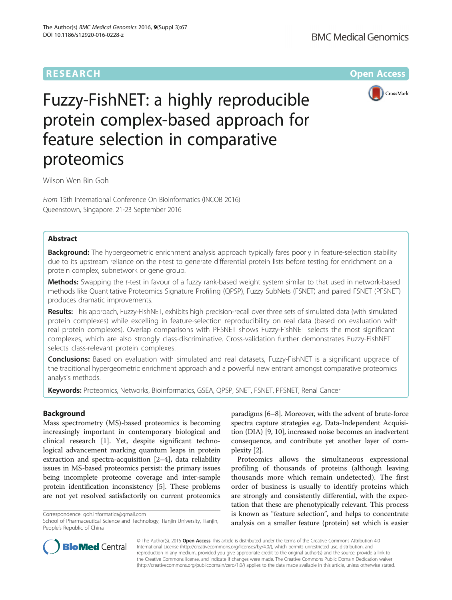# **RESEARCH CHE Open Access**



# Fuzzy-FishNET: a highly reproducible protein complex-based approach for feature selection in comparative proteomics

Wilson Wen Bin Goh

From 15th International Conference On Bioinformatics (INCOB 2016) Queenstown, Singapore. 21-23 September 2016

# Abstract

Background: The hypergeometric enrichment analysis approach typically fares poorly in feature-selection stability due to its upstream reliance on the t-test to generate differential protein lists before testing for enrichment on a protein complex, subnetwork or gene group.

Methods: Swapping the t-test in favour of a fuzzy rank-based weight system similar to that used in network-based methods like Quantitative Proteomics Signature Profiling (QPSP), Fuzzy SubNets (FSNET) and paired FSNET (PFSNET) produces dramatic improvements.

Results: This approach, Fuzzy-FishNET, exhibits high precision-recall over three sets of simulated data (with simulated protein complexes) while excelling in feature-selection reproducibility on real data (based on evaluation with real protein complexes). Overlap comparisons with PFSNET shows Fuzzy-FishNET selects the most significant complexes, which are also strongly class-discriminative. Cross-validation further demonstrates Fuzzy-FishNET selects class-relevant protein complexes.

Conclusions: Based on evaluation with simulated and real datasets, Fuzzy-FishNET is a significant upgrade of the traditional hypergeometric enrichment approach and a powerful new entrant amongst comparative proteomics analysis methods.

Keywords: Proteomics, Networks, Bioinformatics, GSEA, QPSP, SNET, FSNET, PFSNET, Renal Cancer

# Background

Mass spectrometry (MS)-based proteomics is becoming increasingly important in contemporary biological and clinical research [[1\]](#page-10-0). Yet, despite significant technological advancement marking quantum leaps in protein extraction and spectra-acquisition [[2](#page-10-0)–[4\]](#page-10-0), data reliability issues in MS-based proteomics persist: the primary issues being incomplete proteome coverage and inter-sample protein identification inconsistency [[5](#page-10-0)]. These problems are not yet resolved satisfactorily on current proteomics

Correspondence: [goh.informatics@gmail.com](mailto:goh.informatics@gmail.com)

paradigms [[6](#page-10-0)–[8](#page-10-0)]. Moreover, with the advent of brute-force spectra capture strategies e.g. Data-Independent Acquisition (DIA) [\[9](#page-10-0), [10\]](#page-10-0), increased noise becomes an inadvertent consequence, and contribute yet another layer of complexity [\[2\]](#page-10-0).

Proteomics allows the simultaneous expressional profiling of thousands of proteins (although leaving thousands more which remain undetected). The first order of business is usually to identify proteins which are strongly and consistently differential, with the expectation that these are phenotypically relevant. This process is known as "feature selection", and helps to concentrate analysis on a smaller feature (protein) set which is easier



© The Author(s). 2016 Open Access This article is distributed under the terms of the Creative Commons Attribution 4.0 International License [\(http://creativecommons.org/licenses/by/4.0/](http://creativecommons.org/licenses/by/4.0/)), which permits unrestricted use, distribution, and reproduction in any medium, provided you give appropriate credit to the original author(s) and the source, provide a link to the Creative Commons license, and indicate if changes were made. The Creative Commons Public Domain Dedication waiver [\(http://creativecommons.org/publicdomain/zero/1.0/](http://creativecommons.org/publicdomain/zero/1.0/)) applies to the data made available in this article, unless otherwise stated.

School of Pharmaceutical Science and Technology, Tianjin University, Tianjin, People's Republic of China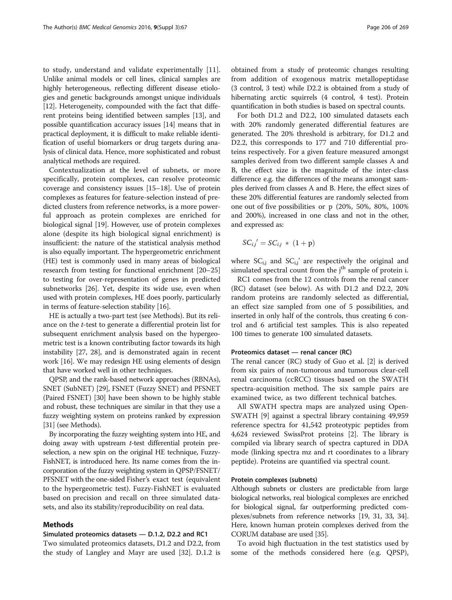to study, understand and validate experimentally [\[11](#page-10-0)]. Unlike animal models or cell lines, clinical samples are highly heterogeneous, reflecting different disease etiologies and genetic backgrounds amongst unique individuals [[12](#page-10-0)]. Heterogeneity, compounded with the fact that different proteins being identified between samples [[13\]](#page-10-0), and possible quantification accuracy issues [\[14\]](#page-10-0) means that in practical deployment, it is difficult to make reliable identification of useful biomarkers or drug targets during analysis of clinical data. Hence, more sophisticated and robust analytical methods are required.

Contextualization at the level of subnets, or more specifically, protein complexes, can resolve proteomic coverage and consistency issues [[15](#page-10-0)–[18](#page-10-0)]. Use of protein complexes as features for feature-selection instead of predicted clusters from reference networks, is a more powerful approach as protein complexes are enriched for biological signal [\[19](#page-10-0)]. However, use of protein complexes alone (despite its high biological signal enrichment) is insufficient: the nature of the statistical analysis method is also equally important. The hypergeometric enrichment (HE) test is commonly used in many areas of biological research from testing for functional enrichment [\[20](#page-10-0)–[25](#page-10-0)] to testing for over-representation of genes in predicted subnetworks [\[26](#page-10-0)]. Yet, despite its wide use, even when used with protein complexes, HE does poorly, particularly in terms of feature-selection stability [[16\]](#page-10-0).

HE is actually a two-part test (see Methods). But its reliance on the t-test to generate a differential protein list for subsequent enrichment analysis based on the hypergeometric test is a known contributing factor towards its high instability [\[27](#page-11-0), [28](#page-11-0)], and is demonstrated again in recent work [\[16\]](#page-10-0). We may redesign HE using elements of design that have worked well in other techniques.

QPSP, and the rank-based network approaches (RBNAs), SNET (SubNET) [\[29\]](#page-11-0), FSNET (Fuzzy SNET) and PFSNET (Paired FSNET) [\[30](#page-11-0)] have been shown to be highly stable and robust, these techniques are similar in that they use a fuzzy weighting system on proteins ranked by expression [[31](#page-11-0)] (see Methods).

By incorporating the fuzzy weighting system into HE, and doing away with upstream t-test differential protein preselection, a new spin on the original HE technique, Fuzzy-FishNET, is introduced here. Its name comes from the incorporation of the fuzzy weighting system in QPSP/FSNET/ PFSNET with the one-sided Fisher's exact test (equivalent to the hypergeometric test). Fuzzy-FishNET is evaluated based on precision and recall on three simulated datasets, and also its stability/reproducibility on real data.

# Methods

# Simulated proteomics datasets — D.1.2, D2.2 and RC1

Two simulated proteomics datasets, D1.2 and D2.2, from the study of Langley and Mayr are used [[32](#page-11-0)]. D.1.2 is obtained from a study of proteomic changes resulting from addition of exogenous matrix metallopeptidase (3 control, 3 test) while D2.2 is obtained from a study of hibernating arctic squirrels (4 control, 4 test). Protein quantification in both studies is based on spectral counts.

For both D1.2 and D2.2, 100 simulated datasets each with 20% randomly generated differential features are generated. The 20% threshold is arbitrary, for D1.2 and D2.2, this corresponds to 177 and 710 differential proteins respectively. For a given feature measured amongst samples derived from two different sample classes A and B, the effect size is the magnitude of the inter-class difference e.g. the differences of the means amongst samples derived from classes A and B. Here, the effect sizes of these 20% differential features are randomly selected from one out of five possibilities or p (20%, 50%, 80%, 100% and 200%), increased in one class and not in the other, and expressed as:

$$
SC_{i,j}' = SC_{i,j} * (1 + p)
$$

where  $SC_{i,j}$  and  $SC_{i,j}$  are respectively the original and simulated spectral count from the j<sup>th</sup> sample of protein i.

RC1 comes from the 12 controls from the renal cancer (RC) dataset (see below). As with D1.2 and D2.2, 20% random proteins are randomly selected as differential, an effect size sampled from one of 5 possibilities, and inserted in only half of the controls, thus creating 6 control and 6 artificial test samples. This is also repeated 100 times to generate 100 simulated datasets.

# Proteomics dataset — renal cancer (RC)

The renal cancer (RC) study of Guo et al. [[2\]](#page-10-0) is derived from six pairs of non-tumorous and tumorous clear-cell renal carcinoma (ccRCC) tissues based on the SWATH spectra-acquisition method. The six sample pairs are examined twice, as two different technical batches.

All SWATH spectra maps are analyzed using Open-SWATH [\[9\]](#page-10-0) against a spectral library containing 49,959 reference spectra for 41,542 proteotypic peptides from 4,624 reviewed SwissProt proteins [[2\]](#page-10-0). The library is compiled via library search of spectra captured in DDA mode (linking spectra mz and rt coordinates to a library peptide). Proteins are quantified via spectral count.

#### Protein complexes (subnets)

Although subnets or clusters are predictable from large biological networks, real biological complexes are enriched for biological signal, far outperforming predicted complexes/subnets from reference networks [[19](#page-10-0), [31](#page-11-0), [33](#page-11-0), [34](#page-11-0)]. Here, known human protein complexes derived from the CORUM database are used [\[35\]](#page-11-0).

To avoid high fluctuation in the test statistics used by some of the methods considered here (e.g. QPSP),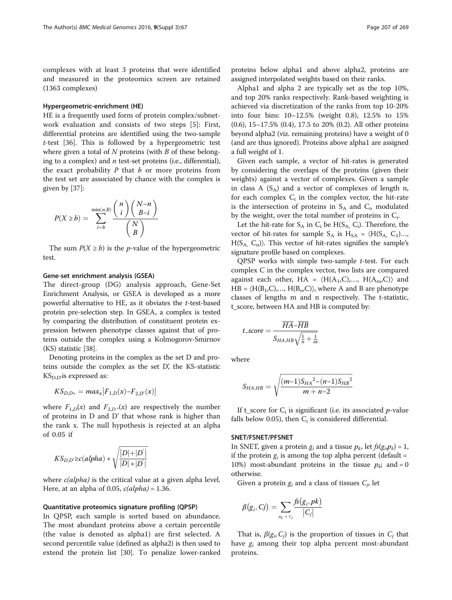complexes with at least 3 proteins that were identified and measured in the proteomics screen are retained (1363 complexes)

# Hypergeometric-enrichment (HE)

HE is a frequently used form of protein complex/subnetwork evaluation and consists of two steps [[5\]](#page-10-0): First, differential proteins are identified using the two-sample  $t$ -test [\[36](#page-11-0)]. This is followed by a hypergeometric test where given a total of  $N$  proteins (with  $B$  of these belonging to a complex) and  $n$  test-set proteins (i.e., differential), the exact probability  $P$  that  $b$  or more proteins from the test set are associated by chance with the complex is given by [\[37\]](#page-11-0):

$$
P(X \ge b) = \sum_{i=b}^{\min(n,B)} \frac{\binom{n}{i} \binom{N-n}{B-i}}{\binom{N}{B}}
$$

The sum  $P(X \ge b)$  is the *p*-value of the hypergeometric test.

#### Gene-set enrichment analysis (GSEA)

The direct-group (DG) analysis approach, Gene-Set Enrichment Analysis, or GSEA is developed as a more powerful alternative to HE, as it obviates the t-test-based protein pre-selection step. In GSEA, a complex is tested by comparing the distribution of constituent protein expression between phenotype classes against that of proteins outside the complex using a Kolmogorov-Smirnov (KS) statistic [[38](#page-11-0)].

Denoting proteins in the complex as the set D and proteins outside the complex as the set D', the KS-statistic  $\mathop{\hbox{\rm KS}}\nolimits_{\rm D,D}$ is expressed as:

$$
K S_{D,D*} = max_x |F_{1,D}(x) - F_{2,D'}(x)|
$$

where  $F_{1,D}(x)$  and  $F_{2,D}*(x)$  are respectively the number of proteins in D and D' that whose rank is higher than the rank x. The null hypothesis is rejected at an alpha of 0.05 if

$$
KS_{D,D'} \geq c(alpha) pha) * \sqrt{\frac{|D|+|D'|}{|D|*|D'|}}
$$

where *c(alpha)* is the critical value at a given alpha level. Here, at an alpha of 0.05,  $c(alpha)$  = 1.36.

#### Quantitative proteomics signature profiling (QPSP)

In QPSP, each sample is sorted based on abundance. The most abundant proteins above a certain percentile (the value is denoted as alpha1) are first selected. A second percentile value (defined as alpha2) is then used to extend the protein list [\[30\]](#page-11-0). To penalize lower-ranked

proteins below alpha1 and above alpha2, proteins are assigned interpolated weights based on their ranks.

Alpha1 and alpha 2 are typically set as the top 10%, and top 20% ranks respectively. Rank-based weighting is achieved via discretization of the ranks from top 10-20% into four bins: 10–12.5% (weight 0.8), 12.5% to 15% (0.6), 15–17.5% (0.4), 17.5 to 20% (0.2). All other proteins beyond alpha2 (viz. remaining proteins) have a weight of 0 (and are thus ignored). Proteins above alpha1 are assigned a full weight of 1.

Given each sample, a vector of hit-rates is generated by considering the overlaps of the proteins (given their weights) against a vector of complexes. Given a sample in class A  $(S_A)$  and a vector of complexes of length n, for each complex  $C_i$  in the complex vector, the hit-rate is the intersection of proteins in  $S_A$  and  $C_i$ , modulated by the weight, over the total number of proteins in  $C_i$ .

Let the hit-rate for  $S_A$  in  $C_i$  be  $H(S_A, C_i)$ . Therefore, the vector of hit-rates for sample  $S_A$  is  $H_{SA} = \langle H(S_A, C_1) \dots \rangle$  $H(S_A, C_n)$ ). This vector of hit-rates signifies the sample's signature profile based on complexes.

QPSP works with simple two-sample t-test. For each complex C in the complex vector, two lists are compared against each other,  $HA = \langle H(A_1, C), ..., H(A_m, C) \rangle$  and  $HB = \langle H(B_1, C),..., H(B_n, C) \rangle$ , where A and B are phenotype classes of lengths m and n respectively. The t-statistic, t\_score, between HA and HB is computed by:

$$
t\_score = \frac{\overline{HA} - \overline{HB}}{S_{HA,HB}\sqrt{\frac{1}{n} + \frac{1}{m}}}
$$

where

$$
S_{HA,HB} = \sqrt{\frac{(m-1)S_{HA}^2 - (n-1)S_{HB}^2}{m+n-2}}
$$

If t\_score for  $C_i$  is significant (i.e. its associated *p*-value falls below 0.05), then  $C_i$  is considered differential.

#### SNET/FSNET/PFSNET

In SNET, given a protein  $g_i$  and a tissue  $p_k$ , let  $f_s(g_i, p_k) = 1$ , if the protein  $g_i$  is among the top alpha percent (default = 10%) most-abundant proteins in the tissue  $p_k$ ; and = 0 otherwise.

Given a protein  $g_i$  and a class of tissues  $C_i$ , let

$$
\beta(g_i, Cj) = \sum_{p_k \in C_j} \frac{fs(g_i, pk)}{|C_j|}
$$

That is,  $\beta(g_i, C_j)$  is the proportion of tissues in  $C_j$  that have  $g_i$  among their top alpha percent most-abundant proteins.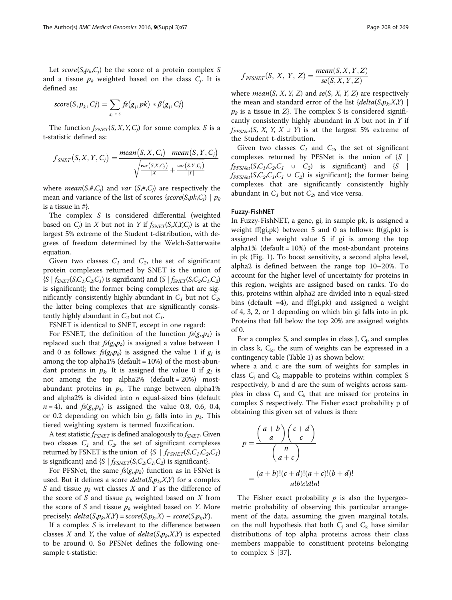Let  $score(S, p_k, C_i)$  be the score of a protein complex S and a tissue  $p_k$  weighted based on the class  $C_i$ . It is defined as:

score
$$
(S, p_k, Cj)
$$
 =  $\sum_{g_i \in S} f_s(g_i, pk) * \beta(g_i, Cj)$ 

The function  $f_{SNET}(S, X, Y, C_i)$  for some complex S is a t-statistic defined as:

$$
f_{SNET}(S, X, Y, C_j) = \frac{mean(S, X, C_j) - mean(S, Y, C_j)}{\sqrt{\frac{var(S, X, C_j)}{|X|} + \frac{var(S, Y, C_j)}{|Y|}}}
$$

where *mean*( $S$ ,#, $C$ <sub>i</sub>) and *var* ( $S$ ,#, $C$ <sub>i</sub>) are respectively the mean and variance of the list of scores {score(S,pk,C<sub>j</sub>) |  $p_k$ is a tissue in #}.

The complex S is considered differential (weighted based on  $C_j$ ) in X but not in Y if  $f_{SNET}(S,X,Y,C_j)$  is at the largest 5% extreme of the Student t-distribution, with degrees of freedom determined by the Welch-Satterwaite equation.

Given two classes  $C_1$  and  $C_2$ , the set of significant protein complexes returned by SNET is the union of  ${S \mid f_{SNET}(S,C_1,C_2,C_1)}$  is significant} and  ${S \mid f_{SNET}(S,C_2,C_1,C_2)}$ is significant}; the former being complexes that are significantly consistently highly abundant in  $C_1$  but not  $C_2$ , the latter being complexes that are significantly consistently highly abundant in  $C_2$  but not  $C_1$ .

FSNET is identical to SNET, except in one regard:

For FSNET, the definition of the function  $fs(g_i,p_k)$  is replaced such that  $fs(g_i, p_k)$  is assigned a value between 1 and 0 as follows:  $f_s(g_i p_k)$  is assigned the value 1 if  $g_i$  is among the top alpha1% (default  $= 10\%$ ) of the most-abundant proteins in  $p_k$ . It is assigned the value 0 if  $g_i$  is not among the top alpha2% (default =  $20\%$ ) mostabundant proteins in  $p_k$ . The range between alpha1% and alpha2% is divided into  $n$  equal-sized bins (default  $n = 4$ ), and  $fs(g_i, p_k)$  is assigned the value 0.8, 0.6, 0.4, or 0.2 depending on which bin  $g_i$  falls into in  $p_k$ . This tiered weighting system is termed fuzzification.

A test statistic  $f_{FSNET}$  is defined analogously to  $f_{SNET}$ . Given two classes  $C_1$  and  $C_2$ , the set of significant complexes returned by FSNET is the union of  $\{S \mid f_{FSNET}(S, C_1, C_2, C_1)\}$ is significant} and  $\{S \mid f_{FSNET}(S, C_2, C_1, C_2)$  is significant}.

For PFSNet, the same  $f_s(g_i, p_k)$  function as in FSNet is used. But it defines a score  $delta(S, p_k, X, Y)$  for a complex S and tissue  $p_k$  wrt classes X and Y as the difference of the score of S and tissue  $p_k$  weighted based on X from the score of S and tissue  $p_k$  weighted based on Y. More precisely:  $delta(S, p_k, X, Y) = score(S, p_k, X) - score(S, p_k, Y).$ 

If a complex  $S$  is irrelevant to the difference between classes X and Y, the value of  $delta(S, p_k, X, Y)$  is expected to be around 0. So PFSNet defines the following onesample t-statistic:

$$
f_{PFSNET}(S, X, Y, Z) = \frac{mean(S, X, Y, Z)}{se(S, X, Y, Z)}
$$

where *mean*(S, X, Y, Z) and se(S, X, Y, Z) are respectively the mean and standard error of the list  $\{delta(S, p_k, X, Y)\}$  $p_k$  is a tissue in  $Z$ . The complex S is considered significantly consistently highly abundant in  $X$  but not in  $Y$  if  $f_{PFSNet}(S, X, Y, X \cup Y)$  is at the largest 5% extreme of the Student t-distribution.

Given two classes  $C_1$  and  $C_2$ , the set of significant complexes returned by PFSNet is the union of  ${S \mid S}$  $f_{PFSNet}(S,C_1,C_2,C_1 \cup C_2)$  is significant} and {S |  $f_{PFSNet}(S,C_2,C_1,C_1 \cup C_2)$  is significant}; the former being complexes that are significantly consistently highly abundant in  $C_1$  but not  $C_2$ , and vice versa.

## Fuzzy-FishNET

In Fuzzy-FishNET, a gene, gi, in sample pk, is assigned a weight ff(gi,pk) between 5 and 0 as follows: ff(gi,pk) is assigned the weight value 5 if gi is among the top alpha1% (default =  $10\%$ ) of the most-abundant proteins in pk (Fig. [1](#page-4-0)). To boost sensitivity, a second alpha level, alpha2 is defined between the range top 10–20%. To account for the higher level of uncertainty for proteins in this region, weights are assigned based on ranks. To do this, proteins within alpha2 are divided into n equal-sized bins (default  $=4$ ), and ff(gi,pk) and assigned a weight of 4, 3, 2, or 1 depending on which bin gi falls into in pk. Proteins that fall below the top 20% are assigned weights of 0.

For a complex S, and samples in class J,  $C_j$ , and samples in class k,  $C_k$ , the sum of weights can be expressed in a contingency table (Table [1\)](#page-4-0) as shown below:

where a and c are the sum of weights for samples in class  $C_i$  and  $C_k$  mappable to proteins within complex S respectively, b and d are the sum of weights across samples in class  $C_i$  and  $C_k$  that are missed for proteins in complex S respectively. The Fisher exact probability p of obtaining this given set of values is then:

$$
p = \frac{\binom{a+b}{a}\binom{c+d}{c}}{\binom{n}{a+c}}
$$

$$
= \frac{(a+b)!(c+d)!(a+c)!(b+d)!}{a!b!c!d!n!}
$$

The Fisher exact probability  $p$  is also the hypergeometric probability of observing this particular arrangement of the data, assuming the given marginal totals, on the null hypothesis that both  $C_i$  and  $C_k$  have similar distributions of top alpha proteins across their class members mappable to constituent proteins belonging to complex S [[37\]](#page-11-0).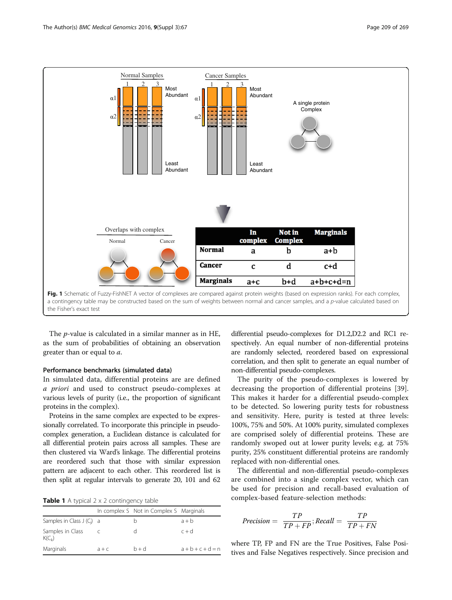<span id="page-4-0"></span>

The p-value is calculated in a similar manner as in HE, as the sum of probabilities of obtaining an observation greater than or equal to a.

#### Performance benchmarks (simulated data)

In simulated data, differential proteins are are defined a priori and used to construct pseudo-complexes at various levels of purity (i.e., the proportion of significant proteins in the complex).

Proteins in the same complex are expected to be expressionally correlated. To incorporate this principle in pseudocomplex generation, a Euclidean distance is calculated for all differential protein pairs across all samples. These are then clustered via Ward's linkage. The differential proteins are reordered such that those with similar expression pattern are adjacent to each other. This reordered list is then split at regular intervals to generate 20, 101 and 62

|  |  |  |  |  | Table 1 A typical 2 x 2 contingency table |  |
|--|--|--|--|--|-------------------------------------------|--|
|--|--|--|--|--|-------------------------------------------|--|

|                                |         | In complex S Not in Complex S Marginals |             |
|--------------------------------|---------|-----------------------------------------|-------------|
| Samples in Class $J(C_i)$ a    |         |                                         | $a + b$     |
| Samples in Class<br>$K(C_{k})$ |         |                                         | $c + d$     |
| Marginals                      | $a + c$ | $b+d$                                   | $a+b+c+d=n$ |

differential pseudo-complexes for D1.2,D2.2 and RC1 respectively. An equal number of non-differential proteins are randomly selected, reordered based on expressional correlation, and then split to generate an equal number of non-differential pseudo-complexes.

The purity of the pseudo-complexes is lowered by decreasing the proportion of differential proteins [\[39](#page-11-0)]. This makes it harder for a differential pseudo-complex to be detected. So lowering purity tests for robustness and sensitivity. Here, purity is tested at three levels: 100%, 75% and 50%. At 100% purity, simulated complexes are comprised solely of differential proteins. These are randomly swoped out at lower purity levels; e.g. at 75% purity, 25% constituent differential proteins are randomly replaced with non-differential ones.

The differential and non-differential pseudo-complexes are combined into a single complex vector, which can be used for precision and recall-based evaluation of complex-based feature-selection methods:

$$
Precision = \frac{TP}{TP + FP}; Recall = \frac{TP}{TP + FN}
$$

where TP, FP and FN are the True Positives, False Positives and False Negatives respectively. Since precision and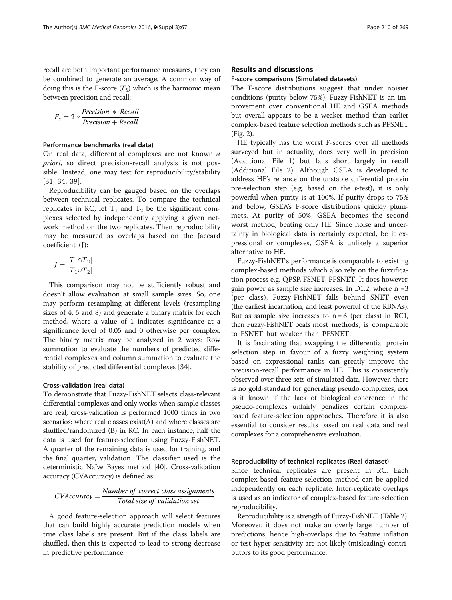recall are both important performance measures, they can be combined to generate an average. A common way of doing this is the F-score  $(F<sub>s</sub>)$  which is the harmonic mean between precision and recall:

$$
F_s = 2 * \frac{Precision * Recall}{Precision + Recall}
$$

# Performance benchmarks (real data)

On real data, differential complexes are not known a priori, so direct precision-recall analysis is not possible. Instead, one may test for reproducibility/stability [[31, 34](#page-11-0), [39](#page-11-0)].

Reproducibility can be gauged based on the overlaps between technical replicates. To compare the technical replicates in RC, let  $T_1$  and  $T_2$  be the significant complexes selected by independently applying a given network method on the two replicates. Then reproducibility may be measured as overlaps based on the Jaccard coefficient (J):

$$
J=\frac{|T_1\cap T_2|}{|T_1\cup T_2|}
$$

This comparison may not be sufficiently robust and doesn't allow evaluation at small sample sizes. So, one may perform resampling at different levels (resampling sizes of 4, 6 and 8) and generate a binary matrix for each method, where a value of 1 indicates significance at a significance level of 0.05 and 0 otherwise per complex. The binary matrix may be analyzed in 2 ways: Row summation to evaluate the numbers of predicted differential complexes and column summation to evaluate the stability of predicted differential complexes [[34](#page-11-0)].

#### Cross-validation (real data)

To demonstrate that Fuzzy-FishNET selects class-relevant differential complexes and only works when sample classes are real, cross-validation is performed 1000 times in two scenarios: where real classes exist(A) and where classes are shuffled/randomized (B) in RC. In each instance, half the data is used for feature-selection using Fuzzy-FishNET. A quarter of the remaining data is used for training, and the final quarter, validation. The classifier used is the deterministic Naïve Bayes method [\[40\]](#page-11-0). Cross-validation accuracy (CVAccuracy) is defined as:

$$
CVAccuracy = \frac{Number\ of\ correct\ class\ assignments}{Total\ size\ of\ validation\ set}
$$

A good feature-selection approach will select features that can build highly accurate prediction models when true class labels are present. But if the class labels are shuffled, then this is expected to lead to strong decrease in predictive performance.

# Results and discussions

# F-score comparisons (Simulated datasets)

The F-score distributions suggest that under noisier conditions (purity below 75%), Fuzzy-FishNET is an improvement over conventional HE and GSEA methods but overall appears to be a weaker method than earlier complex-based feature selection methods such as PFSNET (Fig. [2](#page-6-0)).

HE typically has the worst F-scores over all methods surveyed but in actuality, does very well in precision (Additional File [1](#page-10-0)) but falls short largely in recall (Additional File [2](#page-10-0)). Although GSEA is developed to address HE's reliance on the unstable differential protein pre-selection step (e.g. based on the  $t$ -test), it is only powerful when purity is at 100%. If purity drops to 75% and below, GSEA's F-score distributions quickly plummets. At purity of 50%, GSEA becomes the second worst method, beating only HE. Since noise and uncertainty in biological data is certainly expected, be it expressional or complexes, GSEA is unlikely a superior alternative to HE.

Fuzzy-FishNET's performance is comparable to existing complex-based methods which also rely on the fuzzification process e.g. QPSP, FSNET, PFSNET. It does however, gain power as sample size increases. In D1.2, where  $n = 3$ (per class), Fuzzy-FishNET falls behind SNET even (the earliest incarnation, and least powerful of the RBNAs). But as sample size increases to  $n = 6$  (per class) in RC1, then Fuzzy-FishNET beats most methods, is comparable to FSNET but weaker than PFSNET.

It is fascinating that swapping the differential protein selection step in favour of a fuzzy weighting system based on expressional ranks can greatly improve the precision-recall performance in HE. This is consistently observed over three sets of simulated data. However, there is no gold-standard for generating pseudo-complexes, nor is it known if the lack of biological coherence in the pseudo-complexes unfairly penalizes certain complexbased feature-selection approaches. Therefore it is also essential to consider results based on real data and real complexes for a comprehensive evaluation.

#### Reproducibility of technical replicates (Real dataset)

Since technical replicates are present in RC. Each complex-based feature-selection method can be applied independently on each replicate. Inter-replicate overlaps is used as an indicator of complex-based feature-selection reproducibility.

Reproducibility is a strength of Fuzzy-FishNET (Table [2](#page-6-0)). Moreover, it does not make an overly large number of predictions, hence high-overlaps due to feature inflation or test hyper-sensitivity are not likely (misleading) contributors to its good performance.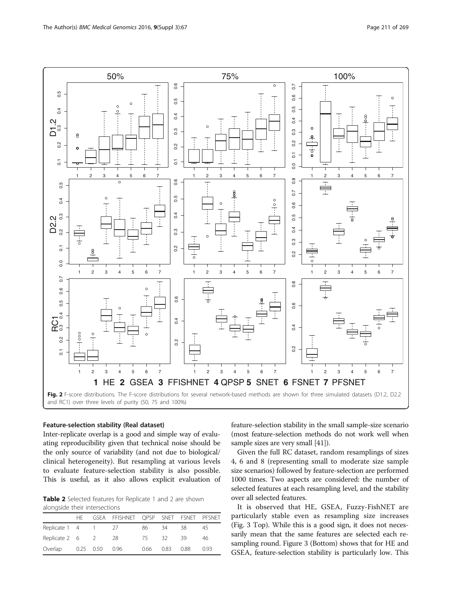<span id="page-6-0"></span>

## Feature-selection stability (Real dataset)

Inter-replicate overlap is a good and simple way of evaluating reproducibility given that technical noise should be the only source of variability (and not due to biological/ clinical heterogeneity). But resampling at various levels to evaluate feature-selection stability is also possible. This is useful, as it also allows explicit evaluation of

Table 2 Selected features for Replicate 1 and 2 are shown alongside their intersections

|                    | HF . |                | GSEA FFISHNET QPSP SNET FSNET PFSNET |      |      |      |      |
|--------------------|------|----------------|--------------------------------------|------|------|------|------|
| Replicate 1 4 1 27 |      |                |                                      | 86   | 34   | 38   | 45   |
| Replicate 2 6 2 28 |      |                |                                      | 75.  | 32.  | -39  | 46   |
| Overlap            |      | 0.25 0.50 0.96 |                                      | 0.66 | 0.83 | 0.88 | 0.93 |

feature-selection stability in the small sample-size scenario (most feature-selection methods do not work well when sample sizes are very small [\[41\]](#page-11-0)).

Given the full RC dataset, random resamplings of sizes 4, 6 and 8 (representing small to moderate size sample size scenarios) followed by feature-selection are performed 1000 times. Two aspects are considered: the number of selected features at each resampling level, and the stability over all selected features.

It is observed that HE, GSEA, Fuzzy-FishNET are particularly stable even as resampling size increases (Fig. [3](#page-7-0) Top). While this is a good sign, it does not necessarily mean that the same features are selected each resampling round. Figure [3](#page-7-0) (Bottom) shows that for HE and GSEA, feature-selection stability is particularly low. This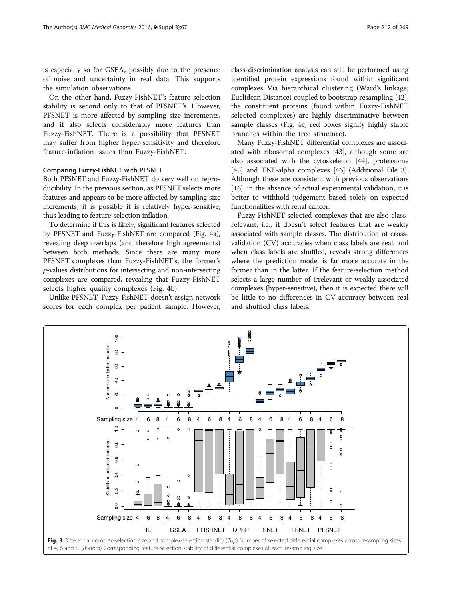<span id="page-7-0"></span>is especially so for GSEA, possibly due to the presence of noise and uncertainty in real data. This supports the simulation observations.

On the other hand, Fuzzy-FishNET's feature-selection stability is second only to that of PFSNET's. However, PFSNET is more affected by sampling size increments, and it also selects considerably more features than Fuzzy-FishNET. There is a possibility that PFSNET may suffer from higher hyper-sensitivity and therefore feature-inflation issues than Fuzzy-FishNET.

# Comparing Fuzzy-FishNET with PFSNET

Both PFSNET and Fuzzy-FishNET do very well on reproducibility. In the previous section, as PFSNET selects more features and appears to be more affected by sampling size increments, it is possible it is relatively hyper-sensitive, thus leading to feature-selection inflation.

To determine if this is likely, significant features selected by PFSNET and Fuzzy-FishNET are compared (Fig. [4a](#page-8-0)), revealing deep overlaps (and therefore high agreements) between both methods. Since there are many more PFSNET complexes than Fuzzy-FishNET's, the former's p-values distributions for intersecting and non-intersecting complexes are compared, revealing that Fuzzy-FishNET selects higher quality complexes (Fig. [4b](#page-8-0)).

Unlike PFSNET, Fuzzy-FishNET doesn't assign network scores for each complex per patient sample. However,

class-discrimination analysis can still be performed using identified protein expressions found within significant complexes. Via hierarchical clustering (Ward's linkage; Euclidean Distance) coupled to bootstrap resampling [[42](#page-11-0)], the constituent proteins (found within Fuzzy-FishNET selected complexes) are highly discriminative between sample classes (Fig. [4c;](#page-8-0) red boxes signify highly stable branches within the tree structure).

Many Fuzzy-FishNET differential complexes are associated with ribosomal complexes [[43](#page-11-0)], although some are also associated with the cytoskeleton [[44](#page-11-0)], proteasome [[45](#page-11-0)] and TNF-alpha complexes [\[46](#page-11-0)] (Additional File [3](#page-10-0)). Although these are consistent with previous observations [[16](#page-10-0)], in the absence of actual experimental validation, it is better to withhold judgement based solely on expected functionalities with renal cancer.

Fuzzy-FishNET selected complexes that are also classrelevant, i.e., it doesn't select features that are weakly associated with sample classes. The distribution of crossvalidation (CV) accuracies when class labels are real, and when class labels are shuffled, reveals strong differences where the prediction model is far more accurate in the former than in the latter. If the feature-selection method selects a large number of irrelevant or weakly associated complexes (hyper-sensitive), then it is expected there will be little to no differences in CV accuracy between real and shuffled class labels.

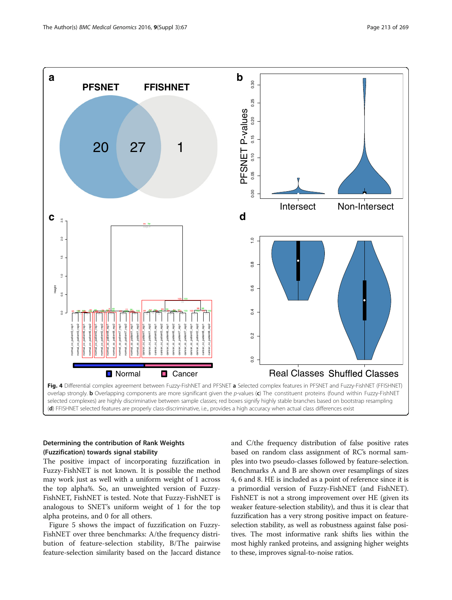<span id="page-8-0"></span>

(d) FFISHNET selected features are properly class-discriminative, i.e., provides a high accuracy when actual class differences exist

# Determining the contribution of Rank Weights (Fuzzification) towards signal stability

The positive impact of incorporating fuzzification in Fuzzy-FishNET is not known. It is possible the method may work just as well with a uniform weight of 1 across the top alpha%. So, an unweighted version of Fuzzy-FishNET, FishNET is tested. Note that Fuzzy-FishNET is analogous to SNET's uniform weight of 1 for the top alpha proteins, and 0 for all others.

Figure [5](#page-9-0) shows the impact of fuzzification on Fuzzy-FishNET over three benchmarks: A/the frequency distribution of feature-selection stability, B/The pairwise feature-selection similarity based on the Jaccard distance and C/the frequency distribution of false positive rates based on random class assignment of RC's normal samples into two pseudo-classes followed by feature-selection. Benchmarks A and B are shown over resamplings of sizes 4, 6 and 8. HE is included as a point of reference since it is a primordial version of Fuzzy-FishNET (and FishNET). FishNET is not a strong improvement over HE (given its weaker feature-selection stability), and thus it is clear that fuzzification has a very strong positive impact on featureselection stability, as well as robustness against false positives. The most informative rank shifts lies within the most highly ranked proteins, and assigning higher weights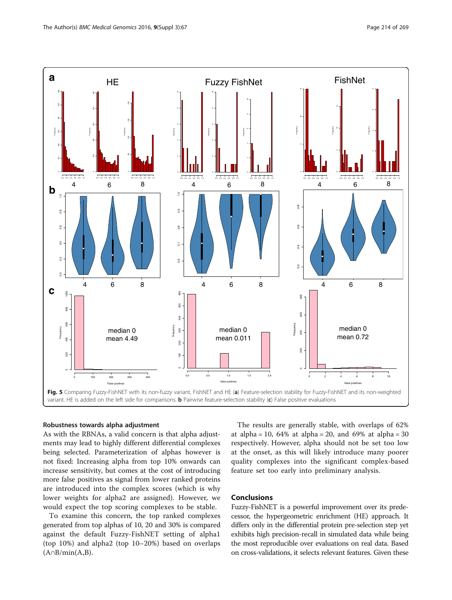<span id="page-9-0"></span>

#### Robustness towards alpha adjustment

As with the RBNAs, a valid concern is that alpha adjustments may lead to highly different differential complexes being selected. Parameterization of alphas however is not fixed: Increasing alpha from top 10% onwards can increase sensitivity, but comes at the cost of introducing more false positives as signal from lower ranked proteins are introduced into the complex scores (which is why lower weights for alpha2 are assigned). However, we would expect the top scoring complexes to be stable.

To examine this concern, the top ranked complexes generated from top alphas of 10, 20 and 30% is compared against the default Fuzzy-FishNET setting of alpha1 (top 10%) and alpha2 (top 10–20%) based on overlaps  $(A \cap B / min(A, B)).$ 

The results are generally stable, with overlaps of 62% at alpha = 10,  $64\%$  at alpha = 20, and  $69\%$  at alpha = 30 respectively. However, alpha should not be set too low at the onset, as this will likely introduce many poorer quality complexes into the significant complex-based feature set too early into preliminary analysis.

# Conclusions

Fuzzy-FishNET is a powerful improvement over its predecessor, the hypergeometric enrichment (HE) approach. It differs only in the differential protein pre-selection step yet exhibits high precision-recall in simulated data while being the most reproducible over evaluations on real data. Based on cross-validations, it selects relevant features. Given these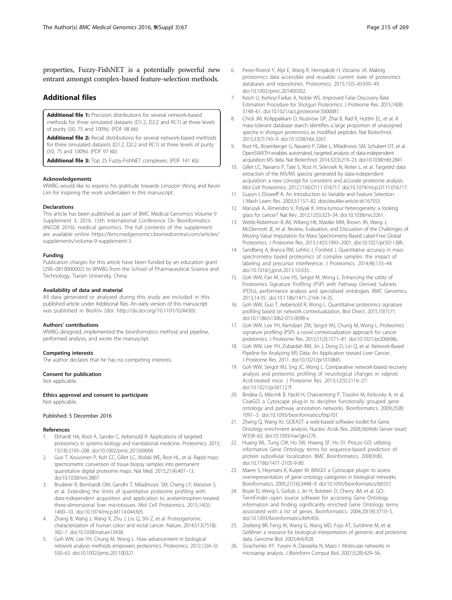<span id="page-10-0"></span>properties, Fuzzy-FishNET is a potentially powerful new entrant amongst complex-based feature-selection methods.

# Additional files

[Additional file 1:](dx.doi.org/10.1186/s12920-016-0228-z) Precision distributions for several network-based methods for three simulated datasets (D1.2, D2.2 and RC1) at three levels of purity (50, 75 and 100%). (PDF 98 kb)

[Additional file 2:](dx.doi.org/10.1186/s12920-016-0228-z) Recall distributions for several network-based methods for three simulated datasets (D1.2, D2.2 and RC1) at three levels of purity (50, 75 and 100%). (PDF 97 kb)

[Additional file 3:](dx.doi.org/10.1186/s12920-016-0228-z) Top 25 Fuzzy-FishNET complexes. (PDF 141 kb)

#### Acknowledgements

WWBG would like to express his gratitude towards Limsoon Wong and Kevin Lim for inspiring the work undertaken in this manuscript.

#### **Declarations**

This article has been published as part of BMC Medical Genomics Volume 9 Supplement 3, 2016. 15th International Conference On Bioinformatics (INCOB 2016): medical genomics. The full contents of the supplement are available online [https://bmcmedgenomics.biomedcentral.com/articles/](https://bmcmedgenomics.biomedcentral.com/articles/supplements/volume-9-supplement-3) [supplements/volume-9-supplement-3](https://bmcmedgenomics.biomedcentral.com/articles/supplements/volume-9-supplement-3).

#### Funding

Publication charges for this article have been funded by an education grant (290–0819000002) to WWBG from the School of Pharmaceutical Science and Technology, Tianjin University, China.

#### Availability of data and material

All data generated or analysed during this study are included in this published article under Additional files. An early version of this manuscript was published in BioXriv (doi: http://dx.doi.org/[10.1101/024430](http://dx.doi.org/10.1101/024430)).

#### Authors' contributions

WWBG designed, implemented the bioinformatics method and pipeline, performed analysis, and wrote the manuscript.

#### Competing interests

The author declares that he has no competing interests.

#### Consent for publication

Not applicable.

Ethics approval and consent to participate Not applicable.

#### Published: 5 December 2016

#### References

- 1. Ebhardt HA, Root A, Sander C, Aebersold R. Applications of targeted proteomics in systems biology and translational medicine. Proteomics. 2015; 15(18):3193–208. doi[:10.1002/pmic.201500004.](http://dx.doi.org/10.1002/pmic.201500004)
- 2. Guo T, Kouvonen P, Koh CC, Gillet LC, Wolski WE, Rost HL, et al. Rapid mass spectrometric conversion of tissue biopsy samples into permanent quantitative digital proteome maps. Nat Med. 2015;21(4):407–13. doi[:10.1038/nm.3807.](http://dx.doi.org/10.1038/nm.3807)
- 3. Bruderer R, Bernhardt OM, Gandhi T, Miladinovic SM, Cheng LY, Messner S, et al. Extending the limits of quantitative proteome profiling with data-independent acquisition and application to acetaminophen-treated three-dimensional liver microtissues. Mol Cell Proteomics. 2015;14(5): 1400–10. doi[:10.1074/mcp.M114.044305.](http://dx.doi.org/10.1074/mcp.M114.044305)
- 4. Zhang B, Wang J, Wang X, Zhu J, Liu Q, Shi Z, et al. Proteogenomic characterization of human colon and rectal cancer. Nature. 2014;513(7518): 382–7. doi:[10.1038/nature13438](http://dx.doi.org/10.1038/nature13438).
- Goh WW, Lee YH, Chung M, Wong L. How advancement in biological network analysis methods empowers proteomics. Proteomics. 2012;12(4–5): 550–63. doi:[10.1002/pmic.201100321](http://dx.doi.org/10.1002/pmic.201100321).
- 6. Perez-Riverol Y, Alpi E, Wang R, Hermjakob H, Vizcaino JA. Making proteomics data accessible and reusable: current state of proteomics databases and repositories. Proteomics. 2015;15(5–6):930–49. doi[:10.1002/pmic.201400302.](http://dx.doi.org/10.1002/pmic.201400302)
- 7. Keich U, Kertesz-Farkas A, Noble WS. Improved False Discovery Rate Estimation Procedure for Shotgun Proteomics. J Proteome Res. 2015;14(8): 3148–61. doi[:10.1021/acs.jproteome.5b00081.](http://dx.doi.org/10.1021/acs.jproteome.5b00081)
- 8. Chick JM, Kolippakkam D, Nusinow DP, Zhai B, Rad R, Huttlin EL, et al. A mass-tolerant database search identifies a large proportion of unassigned spectra in shotgun proteomics as modified peptides. Nat Biotechnol. 2015;33(7):743–9. doi:[10.1038/nbt.3267](http://dx.doi.org/10.1038/nbt.3267).
- 9. Rost HL, Rosenberger G, Navarro P, Gillet L, Miladinovic SM, Schubert OT, et al. OpenSWATH enables automated, targeted analysis of data-independent acquisition MS data. Nat Biotechnol. 2014;32(3):219–23. doi:[10.1038/nbt.2841](http://dx.doi.org/10.1038/nbt.2841).
- 10. Gillet LC, Navarro P, Tate S, Rost H, Selevsek N, Reiter L, et al. Targeted data extraction of the MS/MS spectra generated by data-independent acquisition: a new concept for consistent and accurate proteome analysis. Mol Cell Proteomics. 2012;11(6):O111 016717. doi[:10.1074/mcp.O111.016717](http://dx.doi.org/10.1074/mcp.O111.016717).
- 11. Guyon I, Elisseeff A. An Introduction to Variable and Feature Selection. J Mach Learn Res. 2003;3:1157–82. doi:citeulike-article-id:167555.
- 12. Marusyk A, Almendro V, Polyak K. Intra-tumour heterogeneity: a looking glass for cancer? Nat Rev. 2012;12(5):323–34. doi:[10.1038/nrc3261](http://dx.doi.org/10.1038/nrc3261).
- 13. Webb-Robertson B-JM, Wiberg HK, Matzke MM, Brown JN, Wang J, McDermott JE, et al. Review, Evaluation, and Discussion of the Challenges of Missing Value Imputation for Mass Spectrometry-Based Label-Free Global Proteomics. J Proteome Res. 2015;14(5):1993–2001. doi:[10.1021/pr501138h](http://dx.doi.org/10.1021/pr501138h).
- 14. Sandberg A, Branca RM, Lehtio J, Forshed J. Quantitative accuracy in mass spectrometry based proteomics of complex samples: the impact of labeling and precursor interference. J Proteomics. 2014;96:133–44. doi[:10.1016/j.jprot.2013.10.035](http://dx.doi.org/10.1016/j.jprot.2013.10.035).
- 15. Goh WW, Fan M, Low HS, Sergot M, Wong L. Enhancing the utility of Proteomics Signature Profiling (PSP) with Pathway Derived Subnets (PDSs), performance analysis and specialised ontologies. BMC Genomics. 2013;14:35. doi:[10.1186/1471-2164-14-35](http://dx.doi.org/10.1186/1471-2164-14-35).
- 16. Goh WW, Guo T, Aebersold R, Wong L. Quantitative proteomics signature profiling based on network contextualization. Biol Direct. 2015;10(1):71. doi[:10.1186/s13062-015-0098-x.](http://dx.doi.org/10.1186/s13062-015-0098-x)
- 17. Goh WW, Lee YH, Ramdzan ZM, Sergot MJ, Chung M, Wong L. Proteomics signature profiling (PSP): a novel contextualization approach for cancer proteomics. J Proteome Res. 2012;11(3):1571–81. doi[:10.1021/pr200698c.](http://dx.doi.org/10.1021/pr200698c)
- 18. Goh WW, Lee YH, Zubaidah RM, Jin J, Dong D, Lin Q, et al. Network-Based Pipeline for Analyzing MS Data: An Application toward Liver Cancer. J Proteome Res. 2011. doi:[10.1021/pr1010845.](http://dx.doi.org/10.1021/pr1010845)
- 19. Goh WW, Sergot MJ, Sng JC, Wong L. Comparative network-based recovery analysis and proteomic profiling of neurological changes in valproic Acid-treated mice. J Proteome Res. 2013;12(5):2116–27. doi[:10.1021/pr301127f](http://dx.doi.org/10.1021/pr301127f).
- 20. Bindea G, Mlecnik B, Hackl H, Charoentong P, Tosolini M, Kirilovsky A, et al. ClueGO: a Cytoscape plug-in to decipher functionally grouped gene ontology and pathway annotation networks. Bioinformatics. 2009;25(8): 1091–3. doi:[10.1093/bioinformatics/btp101](http://dx.doi.org/10.1093/bioinformatics/btp101).
- 21. Zheng Q, Wang XJ. GOEAST: a web-based software toolkit for Gene Ontology enrichment analysis. Nucleic Acids Res. 2008;36(Web Server issue): W358–63. doi:[10.1093/nar/gkn276](http://dx.doi.org/10.1093/nar/gkn276).
- 22. Huang WL, Tung CW, Ho SW, Hwang SF, Ho SY. ProLoc-GO: utilizing informative Gene Ontology terms for sequence-based prediction of protein subcellular localization. BMC Bioinformatics. 2008;9:80. doi[:10.1186/1471-2105-9-80](http://dx.doi.org/10.1186/1471-2105-9-80).
- 23. Maere S, Heymans K, Kuiper M. BiNGO: a Cytoscape plugin to assess overrepresentation of gene ontology categories in biological networks. Bioinformatics. 2005;21(16):3448–9. doi:[10.1093/bioinformatics/bti551.](http://dx.doi.org/10.1093/bioinformatics/bti551)
- 24. Boyle El, Weng S, Gollub J, Jin H, Botstein D, Cherry JM, et al. GO:: TermFinder–open source software for accessing Gene Ontology information and finding significantly enriched Gene Ontology terms associated with a list of genes. Bioinformatics. 2004;20(18):3710–5. doi[:10.1093/bioinformatics/bth456](http://dx.doi.org/10.1093/bioinformatics/bth456).
- 25. Zeeberg BR, Feng W, Wang G, Wang MD, Fojo AT, Sunshine M, et al. GoMiner: a resource for biological interpretation of genomic and proteomic data. Genome Biol. 2003;4(4):R28.
- 26. Sivachenko AY, Yuryev A, Daraselia N, Mazo I. Molecular networks in microarray analysis. J Bioinform Comput Biol. 2007;5(2B):429–56.